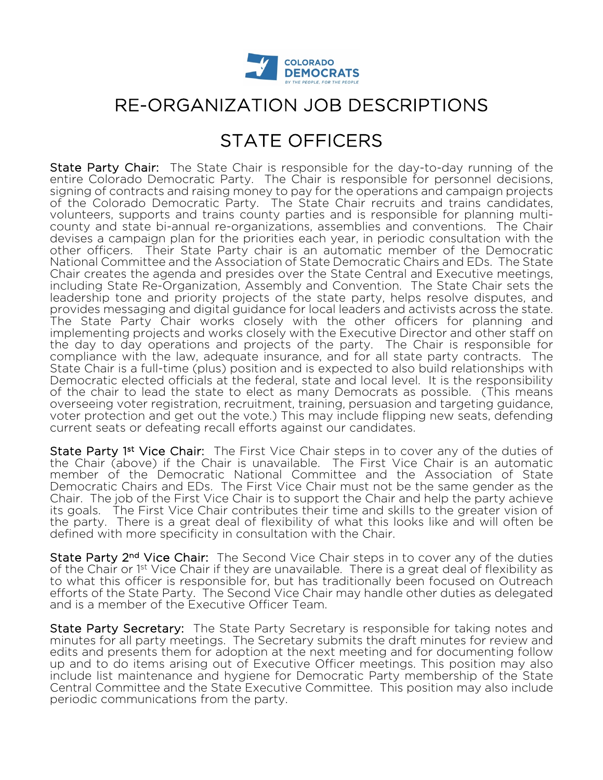

# RE-ORGANIZATION JOB DESCRIPTIONS

## STATE OFFICERS

State Party Chair: The State Chair is responsible for the day-to-day running of the entire Colorado Democratic Party. The Chair is responsible for personnel decisions, signing of contracts and raising money to pay for the operations and campaign projects of the Colorado Democratic Party. The State Chair recruits and trains candidates, volunteers, supports and trains county parties and is responsible for planning multicounty and state bi-annual re-organizations, assemblies and conventions. The Chair devises a campaign plan for the priorities each year, in periodic consultation with the other officers. Their State Party chair is an automatic member of the Democratic National Committee and the Association of State Democratic Chairs and EDs. The State Chair creates the agenda and presides over the State Central and Executive meetings, including State Re-Organization, Assembly and Convention. The State Chair sets the leadership tone and priority projects of the state party, helps resolve disputes, and provides messaging and digital guidance for local leaders and activists across the state. The State Party Chair works closely with the other officers for planning and implementing projects and works closely with the Executive Director and other staff on the day to day operations and projects of the party. The Chair is responsible for compliance with the law, adequate insurance, and for all state party contracts. The State Chair is a full-time (plus) position and is expected to also build relationships with Democratic elected officials at the federal, state and local level. It is the responsibility of the chair to lead the state to elect as many Democrats as possible. (This means overseeing voter registration, recruitment, training, persuasion and targeting guidance, voter protection and get out the vote.) This may include flipping new seats, defending current seats or defeating recall efforts against our candidates.

State Party 1<sup>st</sup> Vice Chair: The First Vice Chair steps in to cover any of the duties of the Chair (above) if the Chair is unavailable. The First Vice Chair is an automatic member of the Democratic National Committee and the Association of State Democratic Chairs and EDs. The First Vice Chair must not be the same gender as the Chair. The job of the First Vice Chair is to support the Chair and help the party achieve its goals. The First Vice Chair contributes their time and skills to the greater vision of the party. There is a great deal of flexibility of what this looks like and will often be defined with more specificity in consultation with the Chair.

State Party 2<sup>nd</sup> Vice Chair: The Second Vice Chair steps in to cover any of the duties of the Chair or 1<sup>st</sup> Vice Chair if they are unavailable. There is a great deal of flexibility as to what this officer is responsible for, but has traditionally been focused on Outreach efforts of the State Party. The Second Vice Chair may handle other duties as delegated and is a member of the Executive Officer Team.

State Party Secretary: The State Party Secretary is responsible for taking notes and minutes for all party meetings. The Secretary submits the draft minutes for review and edits and presents them for adoption at the next meeting and for documenting follow up and to do items arising out of Executive Officer meetings. This position may also include list maintenance and hygiene for Democratic Party membership of the State Central Committee and the State Executive Committee. This position may also include periodic communications from the party.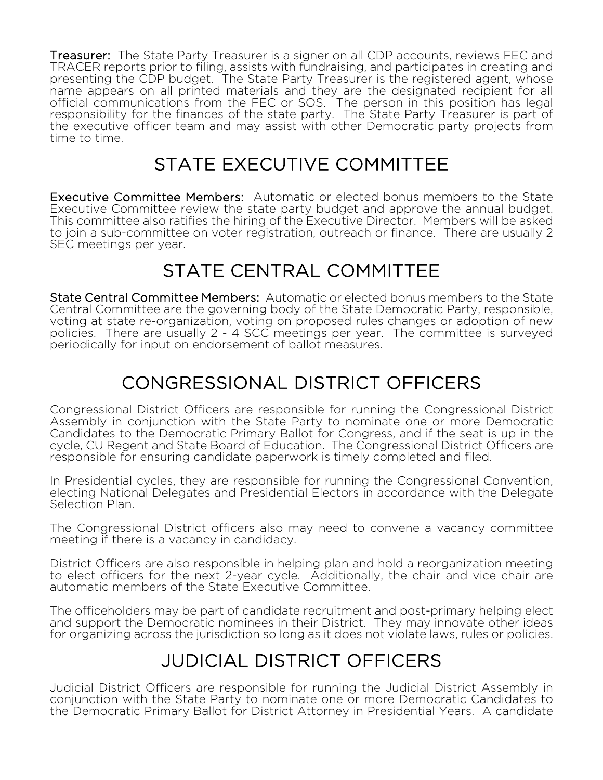Treasurer: The State Party Treasurer is a signer on all CDP accounts, reviews FEC and TRACER reports prior to filing, assists with fundraising, and participates in creating and presenting the CDP budget. The State Party Treasurer is the registered agent, whose name appears on all printed materials and they are the designated recipient for all official communications from the FEC or SOS. The person in this position has legal responsibility for the finances of the state party. The State Party Treasurer is part of the executive officer team and may assist with other Democratic party projects from time to time.

# STATE EXECUTIVE COMMITTEE

 Executive Committee Members: Automatic or elected bonus members to the State Executive Committee review the state party budget and approve the annual budget. This committee also ratifies the hiring of the Executive Director. Members will be asked to join a sub-committee on voter registration, outreach or finance. There are usually 2 SEC meetings per year.

# STATE CENTRAL COMMITTEE

State Central Committee Members: Automatic or elected bonus members to the State Central Committee are the governing body of the State Democratic Party, responsible, voting at state re-organization, voting on proposed rules changes or adoption of new policies. There are usually 2 - 4 SCC meetings per year. The committee is surveyed periodically for input on endorsement of ballot measures.

# CONGRESSIONAL DISTRICT OFFICERS

Congressional District Officers are responsible for running the Congressional District Assembly in conjunction with the State Party to nominate one or more Democratic Candidates to the Democratic Primary Ballot for Congress, and if the seat is up in the cycle, CU Regent and State Board of Education. The Congressional District Officers are responsible for ensuring candidate paperwork is timely completed and filed.

In Presidential cycles, they are responsible for running the Congressional Convention, electing National Delegates and Presidential Electors in accordance with the Delegate Selection Plan.

The Congressional District officers also may need to convene a vacancy committee meeting if there is a vacancy in candidacy.

District Officers are also responsible in helping plan and hold a reorganization meeting to elect officers for the next 2-year cycle. Additionally, the chair and vice chair are automatic members of the State Executive Committee.

The officeholders may be part of candidate recruitment and post-primary helping elect and support the Democratic nominees in their District. They may innovate other ideas for organizing across the jurisdiction so long as it does not violate laws, rules or policies.

# JUDICIAL DISTRICT OFFICERS

Judicial District Officers are responsible for running the Judicial District Assembly in conjunction with the State Party to nominate one or more Democratic Candidates to the Democratic Primary Ballot for District Attorney in Presidential Years. A candidate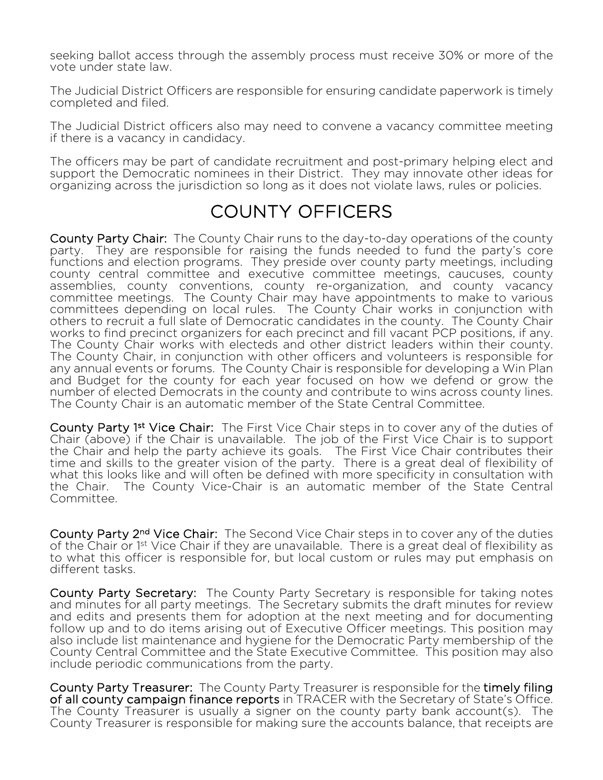seeking ballot access through the assembly process must receive 30% or more of the vote under state law.

The Judicial District Officers are responsible for ensuring candidate paperwork is timely completed and filed.

The Judicial District officers also may need to convene a vacancy committee meeting if there is a vacancy in candidacy.

The officers may be part of candidate recruitment and post-primary helping elect and support the Democratic nominees in their District. They may innovate other ideas for organizing across the jurisdiction so long as it does not violate laws, rules or policies.

#### COUNTY OFFICERS

County Party Chair: The County Chair runs to the day-to-day operations of the county party. They are responsible for raising the funds needed to fund the party's core functions and election programs. They preside over county party meetings, including county central committee and executive committee meetings, caucuses, county assemblies, county conventions, county re-organization, and county vacancy committee meetings. The County Chair may have appointments to make to various committees depending on local rules. The County Chair works in conjunction with others to recruit a full slate of Democratic candidates in the county. The County Chair works to find precinct organizers for each precinct and fill vacant PCP positions, if any. The County Chair works with electeds and other district leaders within their county. The County Chair, in conjunction with other officers and volunteers is responsible for any annual events or forums. The County Chair is responsible for developing a Win Plan and Budget for the county for each year focused on how we defend or grow the number of elected Democrats in the county and contribute to wins across county lines. The County Chair is an automatic member of the State Central Committee.

County Party 1<sup>st</sup> Vice Chair: The First Vice Chair steps in to cover any of the duties of Chair (above) if the Chair is unavailable. The job of the First Vice Chair is to support the Chair and help the party achieve its goals. The First Vice Chair contributes their time and skills to the greater vision of the party. There is a great deal of flexibility of what this looks like and will often be defined with more specificity in consultation with the Chair. The County Vice-Chair is an automatic member of the State Central Committee.

County Party 2<sup>nd</sup> Vice Chair: The Second Vice Chair steps in to cover any of the duties of the Chair or 1<sup>st</sup> Vice Chair if they are unavailable. There is a great deal of flexibility as to what this officer is responsible for, but local custom or rules may put emphasis on different tasks.

County Party Secretary: The County Party Secretary is responsible for taking notes and minutes for all party meetings. The Secretary submits the draft minutes for review and edits and presents them for adoption at the next meeting and for documenting follow up and to do items arising out of Executive Officer meetings. This position may also include list maintenance and hygiene for the Democratic Party membership of the County Central Committee and the State Executive Committee. This position may also include periodic communications from the party.

County Party Treasurer: The County Party Treasurer is responsible for the timely filing of all county campaign finance reports in TRACER with the Secretary of State's Office. The County Treasurer is usually a signer on the county party bank account(s). The County Treasurer is responsible for making sure the accounts balance, that receipts are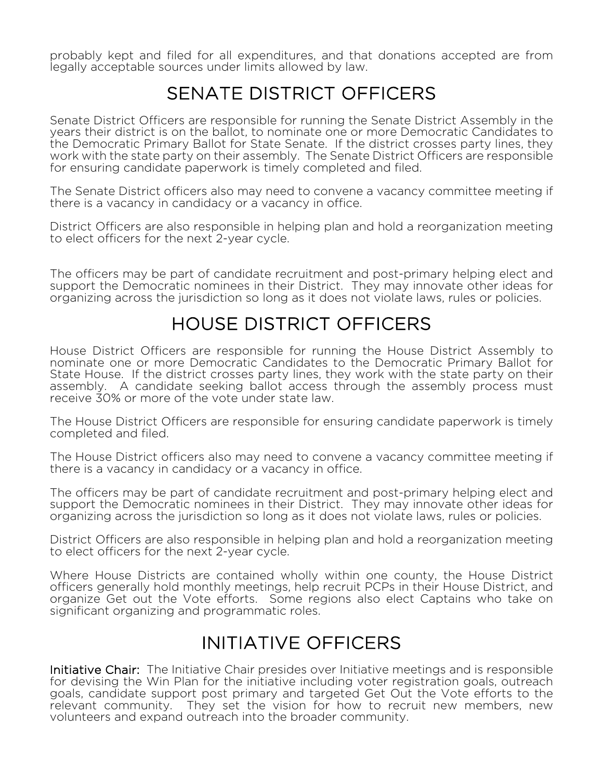probably kept and filed for all expenditures, and that donations accepted are from legally acceptable sources under limits allowed by law.

#### SENATE DISTRICT OFFICERS

Senate District Officers are responsible for running the Senate District Assembly in the years their district is on the ballot, to nominate one or more Democratic Candidates to the Democratic Primary Ballot for State Senate. If the district crosses party lines, they work with the state party on their assembly. The Senate District Officers are responsible for ensuring candidate paperwork is timely completed and filed.

The Senate District officers also may need to convene a vacancy committee meeting if there is a vacancy in candidacy or a vacancy in office.

District Officers are also responsible in helping plan and hold a reorganization meeting to elect officers for the next 2-year cycle.

The officers may be part of candidate recruitment and post-primary helping elect and support the Democratic nominees in their District. They may innovate other ideas for organizing across the jurisdiction so long as it does not violate laws, rules or policies.

#### HOUSE DISTRICT OFFICERS

House District Officers are responsible for running the House District Assembly to nominate one or more Democratic Candidates to the Democratic Primary Ballot for State House. If the district crosses party lines, they work with the state party on their assembly. A candidate seeking ballot access through the assembly process must receive 30% or more of the vote under state law.

The House District Officers are responsible for ensuring candidate paperwork is timely completed and filed.

The House District officers also may need to convene a vacancy committee meeting if there is a vacancy in candidacy or a vacancy in office.

The officers may be part of candidate recruitment and post-primary helping elect and support the Democratic nominees in their District. They may innovate other ideas for organizing across the jurisdiction so long as it does not violate laws, rules or policies.

District Officers are also responsible in helping plan and hold a reorganization meeting to elect officers for the next 2-year cycle.

Where House Districts are contained wholly within one county, the House District officers generally hold monthly meetings, help recruit PCPs in their House District, and organize Get out the Vote efforts. Some regions also elect Captains who take on significant organizing and programmatic roles.

#### INITIATIVE OFFICERS

Initiative Chair: The Initiative Chair presides over Initiative meetings and is responsible for devising the Win Plan for the initiative including voter registration goals, outreach goals, candidate support post primary and targeted Get Out the Vote efforts to the relevant community. They set the vision for how to recruit new members, new volunteers and expand outreach into the broader community.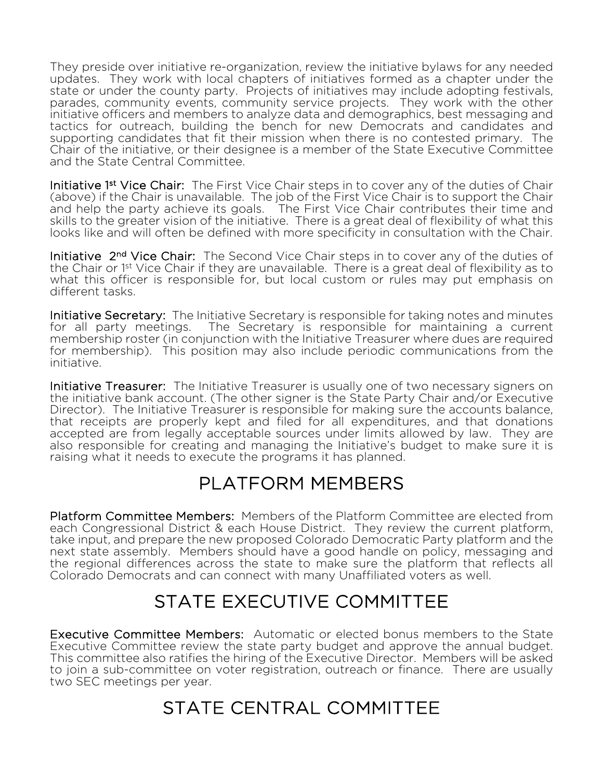They preside over initiative re-organization, review the initiative bylaws for any needed updates. They work with local chapters of initiatives formed as a chapter under the state or under the county party. Projects of initiatives may include adopting festivals, parades, community events, community service projects. They work with the other initiative officers and members to analyze data and demographics, best messaging and tactics for outreach, building the bench for new Democrats and candidates and supporting candidates that fit their mission when there is no contested primary. The Chair of the initiative, or their designee is a member of the State Executive Committee and the State Central Committee.

Initiative 1<sup>st</sup> Vice Chair: The First Vice Chair steps in to cover any of the duties of Chair (above) if the Chair is unavailable. The job of the First Vice Chair is to support the Chair and help the party achieve its goals. The First Vice Chair contributes their time and skills to the greater vision of the initiative. There is a great deal of flexibility of what this looks like and will often be defined with more specificity in consultation with the Chair.

Initiative 2<sup>nd</sup> Vice Chair: The Second Vice Chair steps in to cover any of the duties of the Chair or 1<sup>st</sup> Vice Chair if they are unavailable. There is a great deal of flexibility as to what this officer is responsible for, but local custom or rules may put emphasis on different tasks.

Initiative Secretary: The Initiative Secretary is responsible for taking notes and minutes for all party meetings. The Secretary is responsible for maintaining a current membership roster (in conjunction with the Initiative Treasurer where dues are required for membership). This position may also include periodic communications from the initiative.

Initiative Treasurer: The Initiative Treasurer is usually one of two necessary signers on the initiative bank account. (The other signer is the State Party Chair and/or Executive Director). The Initiative Treasurer is responsible for making sure the accounts balance, that receipts are properly kept and filed for all expenditures, and that donations accepted are from legally acceptable sources under limits allowed by law. They are also responsible for creating and managing the Initiative's budget to make sure it is raising what it needs to execute the programs it has planned.

# PLATFORM MEMBERS

 Platform Committee Members: Members of the Platform Committee are elected from each Congressional District & each House District. They review the current platform, take input, and prepare the new proposed Colorado Democratic Party platform and the next state assembly. Members should have a good handle on policy, messaging and the regional differences across the state to make sure the platform that reflects all Colorado Democrats and can connect with many Unaffiliated voters as well.

# STATE EXECUTIVE COMMITTEE

 Executive Committee Members: Automatic or elected bonus members to the State Executive Committee review the state party budget and approve the annual budget. This committee also ratifies the hiring of the Executive Director. Members will be asked to join a sub-committee on voter registration, outreach or finance. There are usually two SEC meetings per year.

# STATE CENTRAL COMMITTEE